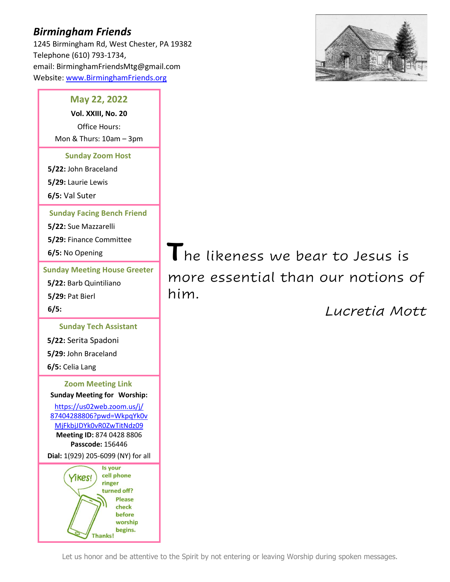# *Birmingham Friends*

1245 Birmingham Rd, West Chester, PA 19382 Telephone (610) 793-1734, email: BirminghamFriendsMtg@gmail.com Website: [www.BirminghamFriends.org](http://www.birminghamfriends.org/)



## **May 22, 2022**

**Vol. XXIII, No. 20** Office Hours: Mon & Thurs: 10am – 3pm

**Sunday Zoom Host**

**5/22:** John Braceland

**5/29:** Laurie Lewis

**6/5:** Val Suter

**Sunday Facing Bench Friend**

**5/22:** Sue Mazzarelli **5/29:** Finance Committee

**6/5:** No Opening

**Sunday Meeting House Greeter 5/22:** Barb Quintiliano **5/29:** Pat Bierl **6/5:**

**Sunday Tech Assistant**

**5/22:** Serita Spadoni **5/29:** John Braceland **6/5:** Celia Lang

**Zoom Meeting Link Sunday Meeting for Worship:**

[https://us02web.zoom.us/j/](https://us02web.zoom.us/j/87404288806?pwd=WkpqYk0vMjFkbjJDYk0vR0ZwTitNdz09) [87404288806?pwd=WkpqYk0v](https://us02web.zoom.us/j/87404288806?pwd=WkpqYk0vMjFkbjJDYk0vR0ZwTitNdz09) [MjFkbjJDYk0vR0ZwTitNdz09](https://us02web.zoom.us/j/87404288806?pwd=WkpqYk0vMjFkbjJDYk0vR0ZwTitNdz09) **Meeting ID:** 874 0428 8806 **Passcode:** 156446

**Dial:** 1(929) 205-6099 (NY) for all



**T**he likeness we bear to Jesus is more essential than our notions of him. *Lucretia Mott*